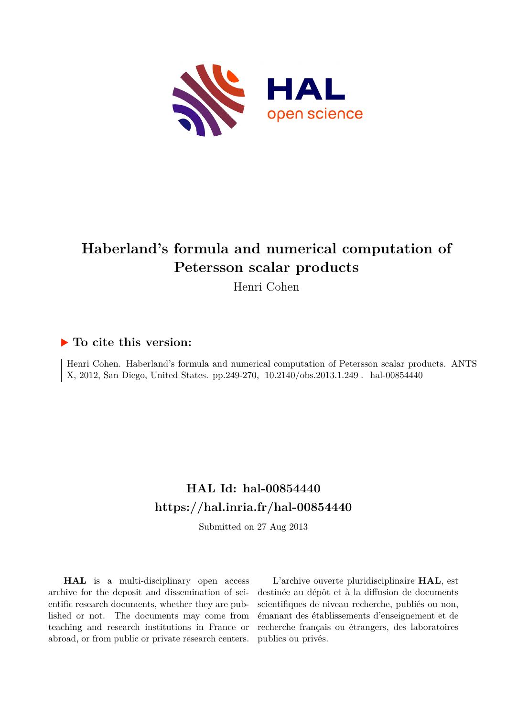

# **Haberland's formula and numerical computation of Petersson scalar products**

Henri Cohen

## **To cite this version:**

Henri Cohen. Haberland's formula and numerical computation of Petersson scalar products. ANTS X, 2012, San Diego, United States. pp.249-270, 10.2140/obs.2013.1.249. hal-00854440

## **HAL Id: hal-00854440 <https://hal.inria.fr/hal-00854440>**

Submitted on 27 Aug 2013

**HAL** is a multi-disciplinary open access archive for the deposit and dissemination of scientific research documents, whether they are published or not. The documents may come from teaching and research institutions in France or abroad, or from public or private research centers.

L'archive ouverte pluridisciplinaire **HAL**, est destinée au dépôt et à la diffusion de documents scientifiques de niveau recherche, publiés ou non, émanant des établissements d'enseignement et de recherche français ou étrangers, des laboratoires publics ou privés.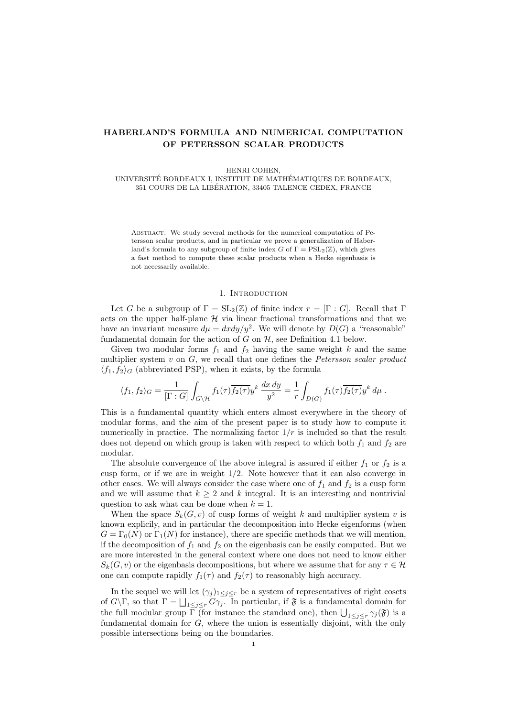## HABERLAND'S FORMULA AND NUMERICAL COMPUTATION OF PETERSSON SCALAR PRODUCTS

HENRI COHEN,

UNIVERSITÉ BORDEAUX I, INSTITUT DE MATHÉMATIQUES DE BORDEAUX, 351 COURS DE LA LIBERATION, 33405 TALENCE CEDEX, FRANCE ´

Abstract. We study several methods for the numerical computation of Petersson scalar products, and in particular we prove a generalization of Haberland's formula to any subgroup of finite index G of  $\Gamma = \mathrm{PSL}_2(\mathbb{Z})$ , which gives a fast method to compute these scalar products when a Hecke eigenbasis is not necessarily available.

#### 1. INTRODUCTION

Let G be a subgroup of  $\Gamma = SL_2(\mathbb{Z})$  of finite index  $r = [\Gamma : G]$ . Recall that  $\Gamma$ acts on the upper half-plane  $H$  via linear fractional transformations and that we have an invariant measure  $d\mu = dxdy/y^2$ . We will denote by  $D(G)$  a "reasonable" fundamental domain for the action of  $G$  on  $H$ , see Definition 4.1 below.

Given two modular forms  $f_1$  and  $f_2$  having the same weight k and the same multiplier system  $v$  on  $G$ , we recall that one defines the *Petersson scalar product*  $\langle f_1, f_2 \rangle_G$  (abbreviated PSP), when it exists, by the formula

$$
\langle f_1, f_2 \rangle_G = \frac{1}{[\Gamma : G]} \int_{G \setminus \mathcal{H}} f_1(\tau) \overline{f_2(\tau)} y^k \frac{dx \, dy}{y^2} = \frac{1}{r} \int_{D(G)} f_1(\tau) \overline{f_2(\tau)} y^k \, d\mu.
$$

This is a fundamental quantity which enters almost everywhere in the theory of modular forms, and the aim of the present paper is to study how to compute it numerically in practice. The normalizing factor  $1/r$  is included so that the result does not depend on which group is taken with respect to which both  $f_1$  and  $f_2$  are modular.

The absolute convergence of the above integral is assured if either  $f_1$  or  $f_2$  is a cusp form, or if we are in weight 1/2. Note however that it can also converge in other cases. We will always consider the case where one of  $f_1$  and  $f_2$  is a cusp form and we will assume that  $k \geq 2$  and k integral. It is an interesting and nontrivial question to ask what can be done when  $k = 1$ .

When the space  $S_k(G, v)$  of cusp forms of weight k and multiplier system v is known explicily, and in particular the decomposition into Hecke eigenforms (when  $G = \Gamma_0(N)$  or  $\Gamma_1(N)$  for instance), there are specific methods that we will mention, if the decomposition of  $f_1$  and  $f_2$  on the eigenbasis can be easily computed. But we are more interested in the general context where one does not need to know either  $S_k(G, v)$  or the eigenbasis decompositions, but where we assume that for any  $\tau \in \mathcal{H}$ one can compute rapidly  $f_1(\tau)$  and  $f_2(\tau)$  to reasonably high accuracy.

In the sequel we will let  $(\gamma_j)_{1 \leq j \leq r}$  be a system of representatives of right cosets of  $G \backslash \Gamma$ , so that  $\Gamma = \bigsqcup_{1 \leq j \leq r} G_{\gamma_j}$ . In particular, if  $\mathfrak F$  is a fundamental domain for the full modular group  $\Gamma$  (for instance the standard one), then  $\bigcup_{1 \leq j \leq r} \gamma_j(\mathfrak{F})$  is a fundamental domain for  $G$ , where the union is essentially disjoint, with the only possible intersections being on the boundaries.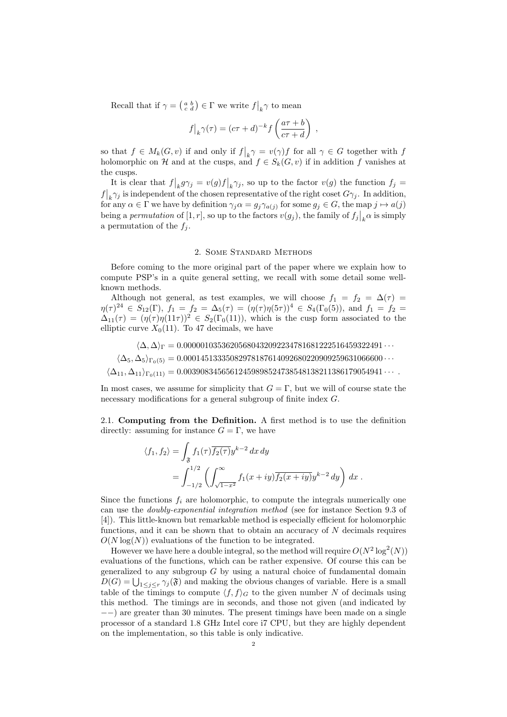Recall that if  $\gamma = \left(\begin{smallmatrix} a & b \\ c & d \end{smallmatrix}\right) \in \Gamma$  we write  $f|_k \gamma$  to mean

$$
f|_{k}\gamma(\tau) = (c\tau + d)^{-k} f\left(\frac{a\tau + b}{c\tau + d}\right) ,
$$

so that  $f \in M_k(G, v)$  if and only if  $f|_k \gamma = v(\gamma) f$  for all  $\gamma \in G$  together with f holomorphic on H and at the cusps, and  $f \in S_k(G, v)$  if in addition f vanishes at the cusps.

It is clear that  $f|_k g \gamma_j = v(g)f|_k \gamma_j$ , so up to the factor  $v(g)$  the function  $f_j =$  $f|_{k} \gamma_{j}$  is independent of the chosen representative of the right coset  $G\gamma_{j}$ . In addition, for any  $\alpha \in \Gamma$  we have by definition  $\gamma_j \alpha = g_j \gamma_{a(j)}$  for some  $g_j \in G$ , the map  $j \mapsto a(j)$ being a *permutation* of [1, r], so up to the factors  $v(g_j)$ , the family of  $f_j|_k \alpha$  is simply a permutation of the  $f_j$ .

#### 2. Some Standard Methods

Before coming to the more original part of the paper where we explain how to compute PSP's in a quite general setting, we recall with some detail some wellknown methods.

Although not general, as test examples, we will choose  $f_1 = f_2 = \Delta(\tau)$  $\eta(\tau)^{24} \in S_{12}(\Gamma), f_1 = f_2 = \Delta_5(\tau) = (\eta(\tau)\eta(5\tau))^4 \in S_4(\Gamma_0(5))$ , and  $f_1 = f_2 =$  $\Delta_{11}(\tau) = (\eta(\tau) \eta(11\tau))^2 \in S_2(\Gamma_0(11)),$  which is the cusp form associated to the elliptic curve  $X_0(11)$ . To 47 decimals, we have

 $\langle \Delta, \Delta \rangle_{\Gamma} = 0.00000103536205680432092234781681222516459322491 \cdots$ 

 $\langle \Delta_5, \Delta_5 \rangle_{\Gamma_0(5)} = 0.00014513335082978187614092680220909259631066600 \cdots$ 

 $\langle \Delta_{11}, \Delta_{11} \rangle_{\Gamma_0(11)} = 0.00390834565612459898524738548138211386179054941 \cdots$ 

In most cases, we assume for simplicity that  $G = \Gamma$ , but we will of course state the necessary modifications for a general subgroup of finite index G.

2.1. Computing from the Definition. A first method is to use the definition directly: assuming for instance  $G = \Gamma$ , we have

$$
\langle f_1, f_2 \rangle = \int_{\mathfrak{F}} f_1(\tau) \overline{f_2(\tau)} y^{k-2} dx dy
$$
  
= 
$$
\int_{-1/2}^{1/2} \left( \int_{\sqrt{1-x^2}}^{\infty} f_1(x+iy) \overline{f_2(x+iy)} y^{k-2} dy \right) dx.
$$

Since the functions  $f_i$  are holomorphic, to compute the integrals numerically one can use the doubly-exponential integration method (see for instance Section 9.3 of [4]). This little-known but remarkable method is especially efficient for holomorphic functions, and it can be shown that to obtain an accuracy of  $N$  decimals requires  $O(N \log(N))$  evaluations of the function to be integrated.

However we have here a double integral, so the method will require  $O(N^2 \log^2(N))$ evaluations of the functions, which can be rather expensive. Of course this can be generalized to any subgroup  $G$  by using a natural choice of fundamental domain  $D(G) = \bigcup_{1 \leq j \leq r} \gamma_j(\mathfrak{F})$  and making the obvious changes of variable. Here is a small table of the timings to compute  $\langle f, f \rangle_G$  to the given number N of decimals using this method. The timings are in seconds, and those not given (and indicated by −−) are greater than 30 minutes. The present timings have been made on a single processor of a standard 1.8 GHz Intel core i7 CPU, but they are highly dependent on the implementation, so this table is only indicative.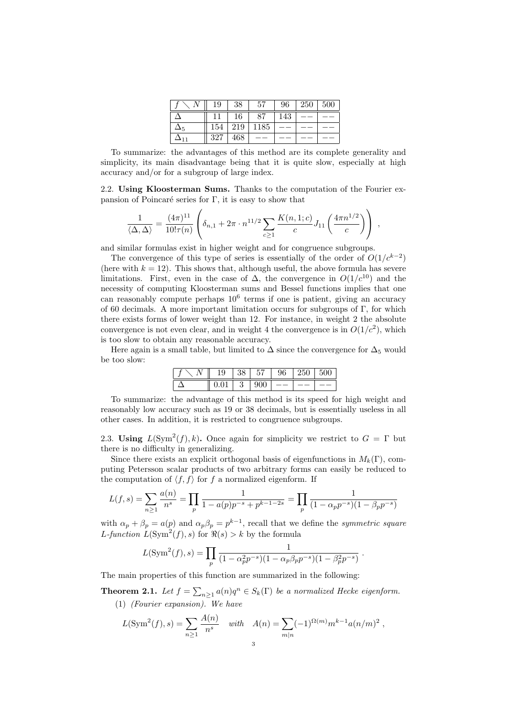| 19  | 38  | 57   | 96  | 250 | 500 |
|-----|-----|------|-----|-----|-----|
|     | 16  | 87   | 143 |     |     |
| 154 | 219 | 1185 |     |     |     |
| 327 | 468 |      |     |     |     |

To summarize: the advantages of this method are its complete generality and simplicity, its main disadvantage being that it is quite slow, especially at high accuracy and/or for a subgroup of large index.

2.2. Using Kloosterman Sums. Thanks to the computation of the Fourier expansion of Poincaré series for  $\Gamma$ , it is easy to show that

$$
\frac{1}{\langle \Delta, \Delta \rangle} = \frac{(4\pi)^{11}}{10! \tau(n)} \left( \delta_{n,1} + 2\pi \cdot n^{11/2} \sum_{c \ge 1} \frac{K(n, 1; c)}{c} J_{11} \left( \frac{4\pi n^{1/2}}{c} \right) \right) ,
$$

and similar formulas exist in higher weight and for congruence subgroups.

The convergence of this type of series is essentially of the order of  $O(1/c^{k-2})$ (here with  $k = 12$ ). This shows that, although useful, the above formula has severe limitations. First, even in the case of  $\Delta$ , the convergence in  $O(1/c^{10})$  and the necessity of computing Kloosterman sums and Bessel functions implies that one can reasonably compute perhaps  $10^6$  terms if one is patient, giving an accuracy of 60 decimals. A more important limitation occurs for subgroups of Γ, for which there exists forms of lower weight than 12. For instance, in weight 2 the absolute convergence is not even clear, and in weight 4 the convergence is in  $O(1/c^2)$ , which is too slow to obtain any reasonable accuracy.

Here again is a small table, but limited to  $\Delta$  since the convergence for  $\Delta_5$  would be too slow:

| u | 90 | 57      | 96 | 250 | $00\,$<br>氐 |
|---|----|---------|----|-----|-------------|
|   | €  | u<br>vv |    |     |             |

To summarize: the advantage of this method is its speed for high weight and reasonably low accuracy such as 19 or 38 decimals, but is essentially useless in all other cases. In addition, it is restricted to congruence subgroups.

2.3. Using  $L(\text{Sym}^2(f), k)$ . Once again for simplicity we restrict to  $G = \Gamma$  but there is no difficulty in generalizing.

Since there exists an explicit orthogonal basis of eigenfunctions in  $M_k(\Gamma)$ , computing Petersson scalar products of two arbitrary forms can easily be reduced to the computation of  $\langle f, f \rangle$  for f a normalized eigenform. If

$$
L(f,s) = \sum_{n\geq 1} \frac{a(n)}{n^s} = \prod_p \frac{1}{1 - a(p)p^{-s} + p^{k-1-2s}} = \prod_p \frac{1}{(1 - \alpha_p p^{-s})(1 - \beta_p p^{-s})}
$$

with  $\alpha_p + \beta_p = a(p)$  and  $\alpha_p \beta_p = p^{k-1}$ , recall that we define the *symmetric square* L-function  $L(\text{Sym}^2(f), s)$  for  $\Re(s) > k$  by the formula

$$
L(\text{Sym}^2(f),s) = \prod_p \frac{1}{(1-\alpha_p^2 p^{-s})(1-\alpha_p \beta_p p^{-s})(1-\beta_p^2 p^{-s})}.
$$

The main properties of this function are summarized in the following:

**Theorem 2.1.** Let  $f = \sum_{n\geq 1} a(n)q^n \in S_k(\Gamma)$  be a normalized Hecke eigenform. (1) (Fourier expansion). We have

$$
L(\text{Sym}^2(f), s) = \sum_{n \ge 1} \frac{A(n)}{n^s} \quad \text{with} \quad A(n) = \sum_{m|n} (-1)^{\Omega(m)} m^{k-1} a(n/m)^2,
$$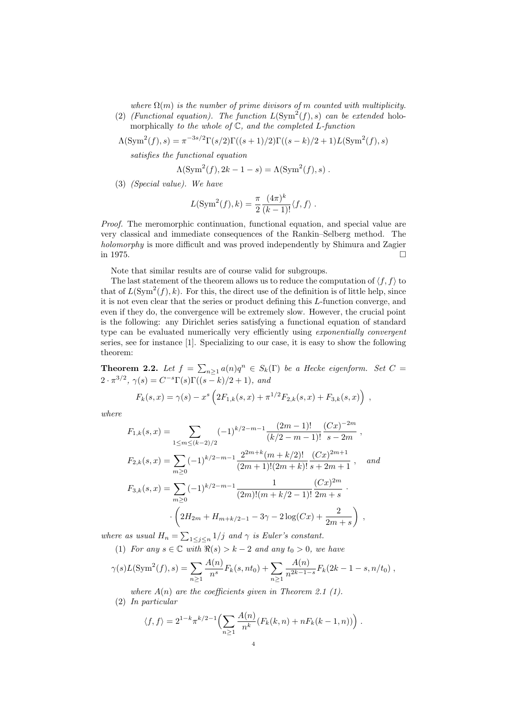where  $\Omega(m)$  is the number of prime divisors of m counted with multiplicity.

(2) (Functional equation). The function  $L(Sym^2(f), s)$  can be extended holomorphically to the whole of  $\mathbb C$ , and the completed  $L$ -function

$$
\Lambda(\text{Sym}^2(f), s) = \pi^{-3s/2} \Gamma(s/2) \Gamma((s+1)/2) \Gamma((s-k)/2+1) L(\text{Sym}^2(f), s)
$$

satisfies the functional equation

$$
\Lambda(\operatorname{Sym}^2(f), 2k-1-s) = \Lambda(\operatorname{Sym}^2(f), s) .
$$

(3) (Special value). We have

$$
L(\text{Sym}^2(f), k) = \frac{\pi}{2} \frac{(4\pi)^k}{(k-1)!} \langle f, f \rangle.
$$

Proof. The meromorphic continuation, functional equation, and special value are very classical and immediate consequences of the Rankin–Selberg method. The holomorphy is more difficult and was proved independently by Shimura and Zagier in 1975.

Note that similar results are of course valid for subgroups.

The last statement of the theorem allows us to reduce the computation of  $\langle f, f \rangle$  to that of  $L(\text{Sym}^2(f), k)$ . For this, the direct use of the definition is of little help, since it is not even clear that the series or product defining this L-function converge, and even if they do, the convergence will be extremely slow. However, the crucial point is the following: any Dirichlet series satisfying a functional equation of standard type can be evaluated numerically very efficiently using *exponentially convergent* series, see for instance [1]. Specializing to our case, it is easy to show the following theorem:

**Theorem 2.2.** Let  $f = \sum_{n\geq 1} a(n)q^n \in S_k(\Gamma)$  be a Hecke eigenform. Set  $C =$  $2 \cdot \pi^{3/2}$ ,  $\gamma(s) = C^{-s} \Gamma(s) \Gamma((s-k)/2+1)$ , and

$$
F_k(s,x) = \gamma(s) - x^s \left( 2F_{1,k}(s,x) + \pi^{1/2} F_{2,k}(s,x) + F_{3,k}(s,x) \right) ,
$$

where

$$
F_{1,k}(s,x) = \sum_{1 \le m \le (k-2)/2} (-1)^{k/2-m-1} \frac{(2m-1)!}{(k/2 - m - 1)!} \frac{(Cx)^{-2m}}{s - 2m},
$$
  
\n
$$
F_{2,k}(s,x) = \sum_{m \ge 0} (-1)^{k/2-m-1} \frac{2^{2m+k}(m+k/2)!}{(2m+1)!(2m+k)!} \frac{(Cx)^{2m+1}}{s + 2m + 1},
$$
 and  
\n
$$
F_{3,k}(s,x) = \sum_{m \ge 0} (-1)^{k/2-m-1} \frac{1}{(2m)!(m+k/2-1)!} \frac{(Cx)^{2m}}{2m + s}.
$$
  
\n
$$
\cdot \left(2H_{2m} + H_{m+k/2-1} - 3\gamma - 2\log(Cx) + \frac{2}{2m + s}\right),
$$

where as usual  $H_n = \sum_{1 \leq j \leq n} 1/j$  and  $\gamma$  is Euler's constant. (1) For any  $s \in \mathbb{C}$  with  $\Re(s) > k - 2$  and any  $t_0 > 0$ , we have

$$
\gamma(s)L(\text{Sym}^2(f), s) = \sum \frac{A(n)}{s} F_k(s, nt_0) + \sum \frac{A(n)}{s^{2k-1-s}} F_k(2k - 1 - s, t)
$$

$$
\gamma(s)L(\text{Sym}^2(f), s) = \sum_{n\geq 1} \frac{A(n)}{n^s} F_k(s, nt_0) + \sum_{n\geq 1} \frac{A(n)}{n^{2k-1-s}} F_k(2k-1-s, n/t_0) ,
$$

where  $A(n)$  are the coefficients given in Theorem 2.1 (1).

(2) In particular

$$
\langle f, f \rangle = 2^{1-k} \pi^{k/2 - 1} \Biggl( \sum_{n \ge 1} \frac{A(n)}{n^k} (F_k(k, n) + nF_k(k - 1, n)) \Biggr) .
$$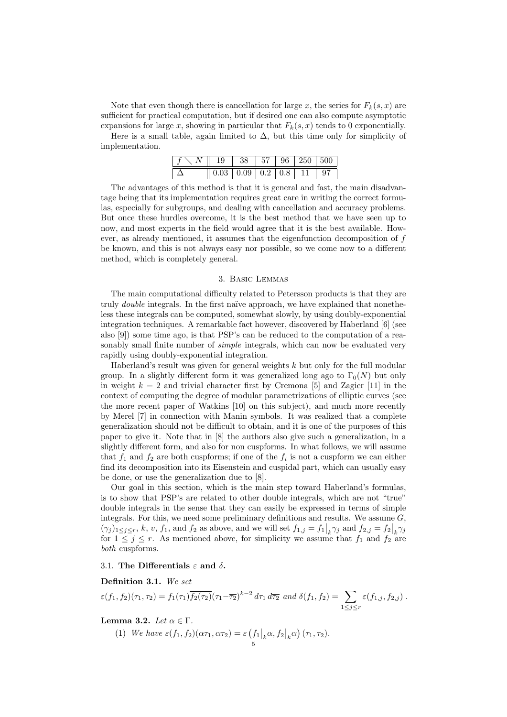Note that even though there is cancellation for large x, the series for  $F_k(s, x)$  are sufficient for practical computation, but if desired one can also compute asymptotic expansions for large x, showing in particular that  $F_k(s, x)$  tends to 0 exponentially.

Here is a small table, again limited to  $\Delta$ , but this time only for simplicity of implementation.

| $f \setminus N \parallel 19 \parallel 38 \parallel 57 \parallel 96 \parallel 250 \parallel 500$ |                                                                                                 |  |  |  |
|-------------------------------------------------------------------------------------------------|-------------------------------------------------------------------------------------------------|--|--|--|
|                                                                                                 | $\parallel$ 0.03 $\parallel$ 0.09 $\parallel$ 0.2 $\parallel$ 0.8 $\parallel$ 11 $\parallel$ 97 |  |  |  |

The advantages of this method is that it is general and fast, the main disadvantage being that its implementation requires great care in writing the correct formulas, especially for subgroups, and dealing with cancellation and accuracy problems. But once these hurdles overcome, it is the best method that we have seen up to now, and most experts in the field would agree that it is the best available. However, as already mentioned, it assumes that the eigenfunction decomposition of f be known, and this is not always easy nor possible, so we come now to a different method, which is completely general.

## 3. Basic Lemmas

The main computational difficulty related to Petersson products is that they are truly *double* integrals. In the first naïve approach, we have explained that nonetheless these integrals can be computed, somewhat slowly, by using doubly-exponential integration techniques. A remarkable fact however, discovered by Haberland [6] (see also [9]) some time ago, is that PSP's can be reduced to the computation of a reasonably small finite number of *simple* integrals, which can now be evaluated very rapidly using doubly-exponential integration.

Haberland's result was given for general weights  $k$  but only for the full modular group. In a slightly different form it was generalized long ago to  $\Gamma_0(N)$  but only in weight  $k = 2$  and trivial character first by Cremona [5] and Zagier [11] in the context of computing the degree of modular parametrizations of elliptic curves (see the more recent paper of Watkins [10] on this subject), and much more recently by Merel [7] in connection with Manin symbols. It was realized that a complete generalization should not be difficult to obtain, and it is one of the purposes of this paper to give it. Note that in [8] the authors also give such a generalization, in a slightly different form, and also for non cuspforms. In what follows, we will assume that  $f_1$  and  $f_2$  are both cuspforms; if one of the  $f_i$  is not a cuspform we can either find its decomposition into its Eisenstein and cuspidal part, which can usually easy be done, or use the generalization due to [8].

Our goal in this section, which is the main step toward Haberland's formulas, is to show that PSP's are related to other double integrals, which are not "true" double integrals in the sense that they can easily be expressed in terms of simple integrals. For this, we need some preliminary definitions and results. We assume  $G$ .  $(\gamma_j)_{1 \leq j \leq r}, k, v, f_1$ , and  $f_2$  as above, and we will set  $f_{1,j} = f_1|_k \gamma_j$  and  $f_{2,j} = f_2|_k \gamma_j$ for  $1 \leq j \leq r$ . As mentioned above, for simplicity we assume that  $f_1$  and  $f_2$  are both cuspforms.

## 3.1. The Differentials  $\varepsilon$  and  $\delta$ .

Definition 3.1. We set

$$
\varepsilon(f_1, f_2)(\tau_1, \tau_2) = f_1(\tau_1) \overline{f_2(\tau_2)} (\tau_1 - \overline{\tau_2})^{k-2} d\tau_1 d\overline{\tau_2} \text{ and } \delta(f_1, f_2) = \sum_{1 \le j \le r} \varepsilon(f_{1,j}, f_{2,j}).
$$

## Lemma 3.2. Let  $\alpha \in \Gamma$ .

(1) We have  $\varepsilon(f_1, f_2)(\alpha \tau_1, \alpha \tau_2) = \varepsilon \left(f_1\big|_k \alpha, f_2\big|_k \alpha\right) (\tau_1, \tau_2)$ .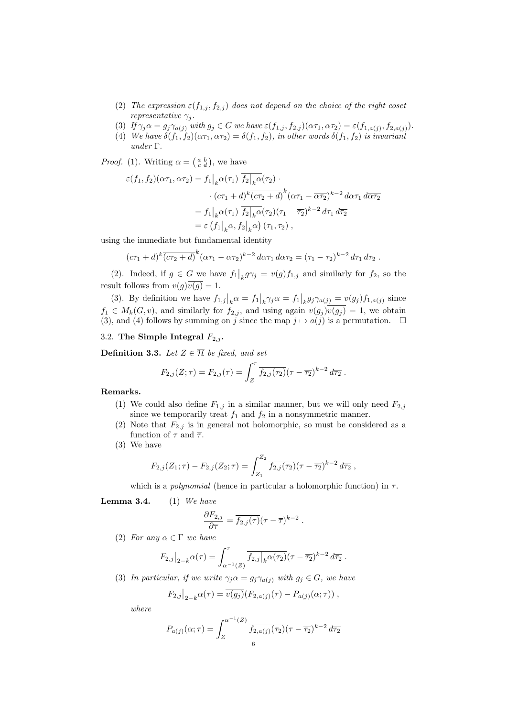- (2) The expression  $\varepsilon(f_{1,j}, f_{2,j})$  does not depend on the choice of the right coset representative  $\gamma_j$ .
- (3) If  $\gamma_j \alpha = g_j \gamma_{a(j)}$  with  $g_j \in G$  we have  $\varepsilon(f_{1,j}, f_{2,j})(\alpha \tau_1, \alpha \tau_2) = \varepsilon(f_{1,a(j)}, f_{2,a(j)})$ .
- (4) We have  $\delta(f_1, f_2)(\alpha \tau_1, \alpha \tau_2) = \delta(f_1, f_2)$ , in other words  $\delta(f_1, f_2)$  is invariant under Γ.

*Proof.* (1). Writing  $\alpha = \begin{pmatrix} a & b \\ c & d \end{pmatrix}$ , we have

$$
\varepsilon(f_1, f_2)(\alpha \tau_1, \alpha \tau_2) = f_1\big|_k \alpha(\tau_1) f_2\big|_k \alpha(\tau_2) \cdot
$$

$$
\cdot (c\tau_1 + d)^k \overline{(c\tau_2 + d)}^k (\alpha \tau_1 - \overline{\alpha \tau_2})^{k-2} d\alpha \tau_1 d\overline{\alpha \tau_2}
$$

$$
= f_1\big|_k \alpha(\tau_1) \overline{f_2}\big|_k \alpha(\tau_2) (\tau_1 - \overline{\tau_2})^{k-2} d\tau_1 d\overline{\tau_2}
$$

$$
= \varepsilon (f_1\big|_k \alpha, f_2\big|_k \alpha) (\tau_1, \tau_2) ,
$$

using the immediate but fundamental identity

$$
(c\tau_1+d)^k\overline{(c\tau_2+d)}^k(\alpha\tau_1-\overline{\alpha\tau_2})^{k-2}d\alpha\tau_1 d\overline{\alpha\tau_2}=(\tau_1-\overline{\tau_2})^{k-2}d\tau_1 d\overline{\tau_2}.
$$

(2). Indeed, if  $g \in G$  we have  $f_1|_k g \gamma_j = v(g) f_{1,j}$  and similarly for  $f_2$ , so the result follows from  $v(g)\overline{v(g)} = 1$ .

(3). By definition we have  $f_{1,j}|_k \alpha = f_1|_k \gamma_j \alpha = f_1|_k g_j \gamma_{a(j)} = v(g_j) f_{1,a(j)}$  since  $f_1 \in M_k(G, v)$ , and similarly for  $f_{2,j}$ , and using again  $v(g_j)\overline{v(g_j)} = 1$ , we obtain (3), and (4) follows by summing on j since the map  $j \mapsto a(j)$  is a permutation.  $\Box$ 

## 3.2. The Simple Integral  $F_{2,i}$ .

**Definition 3.3.** Let  $Z \in \overline{\mathcal{H}}$  be fixed, and set

$$
F_{2,j}(Z;\tau) = F_{2,j}(\tau) = \int_Z^{\tau} \overline{f_{2,j}(\tau_2)} (\tau - \overline{\tau_2})^{k-2} d\overline{\tau_2} .
$$

## Remarks.

- (1) We could also define  $F_{1,j}$  in a similar manner, but we will only need  $F_{2,j}$ since we temporarily treat  $f_1$  and  $f_2$  in a nonsymmetric manner.
- (2) Note that  $F_{2,j}$  is in general not holomorphic, so must be considered as a function of  $\tau$  and  $\overline{\tau}$ .
- (3) We have

$$
F_{2,j}(Z_1;\tau) - F_{2,j}(Z_2;\tau) = \int_{Z_1}^{Z_2} \overline{f_{2,j}(\tau_2)} (\tau - \overline{\tau_2})^{k-2} d\overline{\tau_2} ,
$$

which is a *polynomial* (hence in particular a holomorphic function) in  $\tau$ .

### **Lemma 3.4.** (1) We have

$$
\frac{\partial F_{2,j}}{\partial \overline{\tau}} = \overline{f_{2,j}(\tau)} (\tau - \overline{\tau})^{k-2} .
$$

(2) For any  $\alpha \in \Gamma$  we have

$$
F_{2,j}\big|_{2-k} \alpha(\tau) = \int_{\alpha^{-1}(Z)}^{\tau} \overline{f_{2,j}\big|_{k} \alpha(\tau_2)} (\tau - \overline{\tau_2})^{k-2} d\overline{\tau_2} .
$$

(3) In particular, if we write  $\gamma_j \alpha = g_j \gamma_{a(j)}$  with  $g_j \in G$ , we have

$$
F_{2,j}|_{2-k}\alpha(\tau) = \overline{v(g_j)}(F_{2,a(j)}(\tau) - P_{a(j)}(\alpha;\tau)),
$$

where

$$
P_{a(j)}(\alpha;\tau) = \int_{Z}^{\alpha^{-1}(Z)} \frac{\overline{f_{2,a(j)}(\tau_2)}}{(f_{2,a(j)}(\tau_2)(\tau - \overline{\tau_2})^{k-2} d\overline{\tau_2}}
$$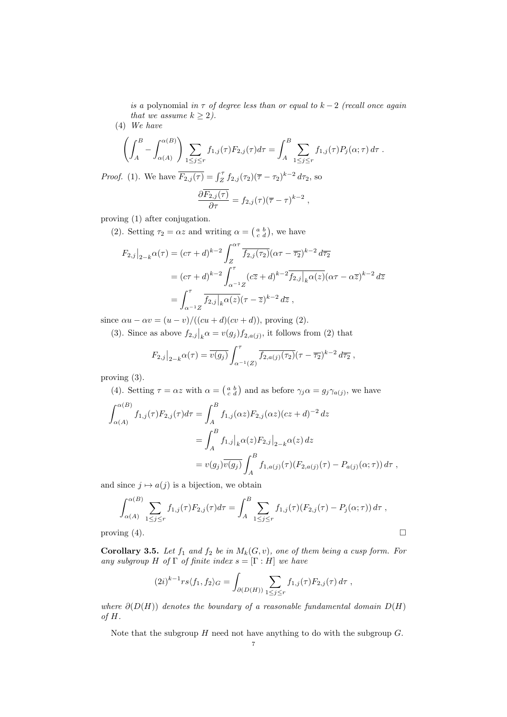is a polynomial in  $\tau$  of degree less than or equal to  $k-2$  (recall once again that we assume  $k \geq 2$ ).

(4) We have

$$
\left(\int_A^B - \int_{\alpha(A)}^{\alpha(B)} \right) \sum_{1 \le j \le r} f_{1,j}(\tau) F_{2,j}(\tau) d\tau = \int_A^B \sum_{1 \le j \le r} f_{1,j}(\tau) P_j(\alpha; \tau) d\tau.
$$

*Proof.* (1). We have  $\overline{F_{2,j}(\tau)} = \int_Z^{\tau} f_{2,j}(\tau_2) (\overline{\tau} - \tau_2)^{k-2} d\tau_2$ , so

$$
\frac{\partial \overline{F_{2,j}(\tau)}}{\partial \tau} = f_{2,j}(\tau) (\overline{\tau} - \tau)^{k-2} ,
$$

proving (1) after conjugation.

(2). Setting  $\tau_2 = \alpha z$  and writing  $\alpha = \begin{pmatrix} a & b \\ c & d \end{pmatrix}$ , we have

$$
F_{2,j}|_{2-k} \alpha(\tau) = (c\tau + d)^{k-2} \int_{Z}^{\alpha \tau} \overline{f_{2,j}(\tau_2)} (\alpha \tau - \overline{\tau_2})^{k-2} d\overline{\tau_2}
$$
  
=  $(c\tau + d)^{k-2} \int_{\alpha^{-1}Z}^{\tau} (c\overline{z} + d)^{k-2} \overline{f_{2,j}|_{k} \alpha(z)} (\alpha \tau - \alpha \overline{z})^{k-2} d\overline{z}$   
=  $\int_{\alpha^{-1}Z}^{\tau} \overline{f_{2,j}|_{k} \alpha(z)} (\tau - \overline{z})^{k-2} d\overline{z}$ ,

since  $\alpha u - \alpha v = (u - v)/((cu + d)(cv + d))$ , proving (2).

(3). Since as above  $f_{2,j}|_{k} \alpha = v(g_j) f_{2,a(j)}$ , it follows from (2) that

$$
F_{2,j}\big|_{2-k} \alpha(\tau) = \overline{v(g_j)} \int_{\alpha^{-1}(Z)}^{\tau} \overline{f_{2,a(j)}(\tau_2)} (\tau - \overline{\tau_2})^{k-2} d\overline{\tau_2} ,
$$

proving (3).

(4). Setting  $\tau = \alpha z$  with  $\alpha = \begin{pmatrix} a & b \\ c & d \end{pmatrix}$  and as before  $\gamma_j \alpha = g_j \gamma_{a(j)}$ , we have

$$
\int_{\alpha(A)}^{\alpha(B)} f_{1,j}(\tau) F_{2,j}(\tau) d\tau = \int_{A}^{B} f_{1,j}(\alpha z) F_{2,j}(\alpha z) (cz + d)^{-2} dz
$$
  

$$
= \int_{A}^{B} f_{1,j} |_{k} \alpha(z) F_{2,j} |_{2-k} \alpha(z) dz
$$
  

$$
= v(g_{j}) \overline{v(g_{j})} \int_{A}^{B} f_{1,a(j)}(\tau) (F_{2,a(j)}(\tau) - P_{a(j)}(\alpha; \tau)) d\tau ,
$$

and since  $j \mapsto a(j)$  is a bijection, we obtain

$$
\int_{\alpha(A)}^{\alpha(B)} \sum_{1 \le j \le r} f_{1,j}(\tau) F_{2,j}(\tau) d\tau = \int_{A}^{B} \sum_{1 \le j \le r} f_{1,j}(\tau) (F_{2,j}(\tau) - P_j(\alpha; \tau)) d\tau ,
$$
  
proving (4).

Corollary 3.5. Let  $f_1$  and  $f_2$  be in  $M_k(G, v)$ , one of them being a cusp form. For any subgroup H of  $\Gamma$  of finite index  $s = [\Gamma : H]$  we have

$$
(2i)^{k-1}rs\langle f_1, f_2\rangle_G = \int_{\partial(D(H))} \sum_{1 \le j \le r} f_{1,j}(\tau) F_{2,j}(\tau) d\tau ,
$$

where  $\partial(D(H))$  denotes the boundary of a reasonable fundamental domain  $D(H)$ of H.

Note that the subgroup  $H$  need not have anything to do with the subgroup  $G$ .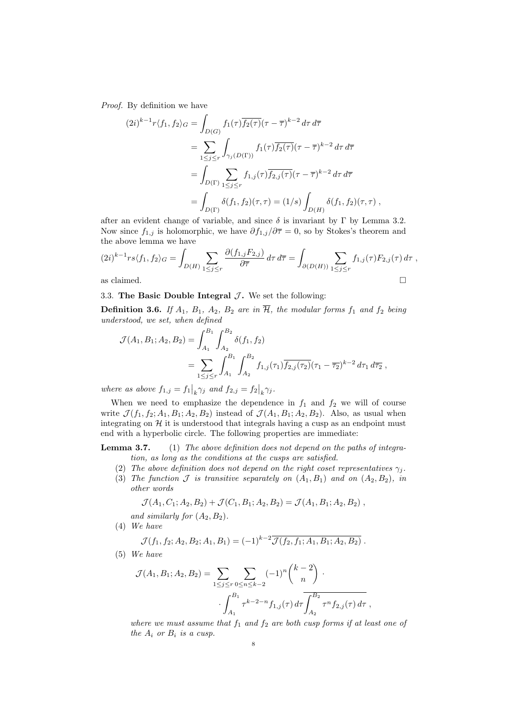Proof. By definition we have

$$
(2i)^{k-1}r\langle f_1, f_2 \rangle_G = \int_{D(G)} f_1(\tau) \overline{f_2(\tau)} (\tau - \overline{\tau})^{k-2} d\tau d\overline{\tau}
$$
  
= 
$$
\sum_{1 \le j \le r} \int_{\gamma_j(D(\Gamma))} f_1(\tau) \overline{f_2(\tau)} (\tau - \overline{\tau})^{k-2} d\tau d\overline{\tau}
$$
  
= 
$$
\int_{D(\Gamma)} \sum_{1 \le j \le r} f_{1,j}(\tau) \overline{f_{2,j}(\tau)} (\tau - \overline{\tau})^{k-2} d\tau d\overline{\tau}
$$
  
= 
$$
\int_{D(\Gamma)} \delta(f_1, f_2)(\tau, \tau) = (1/s) \int_{D(H)} \delta(f_1, f_2)(\tau, \tau) ,
$$

after an evident change of variable, and since  $\delta$  is invariant by  $\Gamma$  by Lemma 3.2. Now since  $f_{1,j}$  is holomorphic, we have  $\partial f_{1,j}/\partial \overline{\tau} = 0$ , so by Stokes's theorem and the above lemma we have

$$
(2i)^{k-1}rs\langle f_1, f_2\rangle_G = \int_{D(H)} \sum_{1 \le j \le r} \frac{\partial (f_{1,j}F_{2,j})}{\partial \tau} d\tau d\overline{\tau} = \int_{\partial (D(H))} \sum_{1 \le j \le r} f_{1,j}(\tau) F_{2,j}(\tau) d\tau ,
$$
as claimed.

3.3. The Basic Double Integral  $\mathcal{J}$ . We set the following:

**Definition 3.6.** If  $A_1$ ,  $B_1$ ,  $A_2$ ,  $B_2$  are in  $\overline{\mathcal{H}}$ , the modular forms  $f_1$  and  $f_2$  being understood, we set, when defined

$$
\mathcal{J}(A_1, B_1; A_2, B_2) = \int_{A_1}^{B_1} \int_{A_2}^{B_2} \delta(f_1, f_2)
$$
  
= 
$$
\sum_{1 \le j \le r} \int_{A_1}^{B_1} \int_{A_2}^{B_2} f_{1,j}(\tau_1) \overline{f_{2,j}(\tau_2)} (\tau_1 - \overline{\tau_2})^{k-2} d\tau_1 d\overline{\tau_2} ,
$$

where as above  $f_{1,j} = f_1\big|_k \gamma_j$  and  $f_{2,j} = f_2\big|_k \gamma_j$ .

When we need to emphasize the dependence in  $f_1$  and  $f_2$  we will of course write  $\mathcal{J}(f_1, f_2; A_1, B_1; A_2, B_2)$  instead of  $\mathcal{J}(A_1, B_1; A_2, B_2)$ . Also, as usual when integrating on  $H$  it is understood that integrals having a cusp as an endpoint must end with a hyperbolic circle. The following properties are immediate:

**Lemma 3.7.** (1) The above definition does not depend on the paths of integration, as long as the conditions at the cusps are satisfied.

- (2) The above definition does not depend on the right coset representatives  $\gamma_i$ .
- (3) The function  $\mathcal J$  is transitive separately on  $(A_1, B_1)$  and on  $(A_2, B_2)$ , in other words

$$
\mathcal{J}(A_1, C_1; A_2, B_2) + \mathcal{J}(C_1, B_1; A_2, B_2) = \mathcal{J}(A_1, B_1; A_2, B_2),
$$

and similarly for  $(A_2, B_2)$ .

(4) We have

$$
\mathcal{J}(f_1, f_2; A_2, B_2; A_1, B_1) = (-1)^{k-2} \overline{\mathcal{J}(f_2, f_1; A_1, B_1; A_2, B_2)}.
$$

(5) We have

$$
\mathcal{J}(A_1, B_1; A_2, B_2) = \sum_{1 \le j \le r} \sum_{0 \le n \le k-2} (-1)^n {k-2 \choose n} \cdot \int_{A_1}^{B_1} \tau^{k-2-n} f_{1,j}(\tau) d\tau \int_{A_2}^{B_2} \tau^n f_{2,j}(\tau) d\tau,
$$

where we must assume that  $f_1$  and  $f_2$  are both cusp forms if at least one of the  $A_i$  or  $B_i$  is a cusp.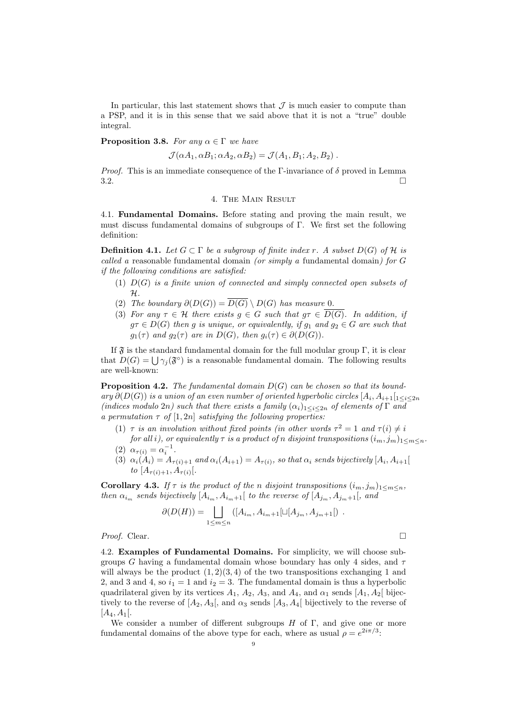In particular, this last statement shows that  $\mathcal I$  is much easier to compute than a PSP, and it is in this sense that we said above that it is not a "true" double integral.

**Proposition 3.8.** For any  $\alpha \in \Gamma$  we have

$$
\mathcal{J}(\alpha A_1, \alpha B_1; \alpha A_2, \alpha B_2) = \mathcal{J}(A_1, B_1; A_2, B_2).
$$

*Proof.* This is an immediate consequence of the Γ-invariance of  $\delta$  proved in Lemma  $3.2.$ 

#### 4. The Main Result

4.1. Fundamental Domains. Before stating and proving the main result, we must discuss fundamental domains of subgroups of Γ. We first set the following definition:

**Definition 4.1.** Let  $G \subset \Gamma$  be a subgroup of finite index r. A subset  $D(G)$  of H is called a reasonable fundamental domain (or simply a fundamental domain) for  $G$ if the following conditions are satisfied:

- (1)  $D(G)$  is a finite union of connected and simply connected open subsets of H.
- (2) The boundary  $\partial(D(G)) = \overline{D(G)} \setminus D(G)$  has measure 0.
- (3) For any  $\tau \in \mathcal{H}$  there exists  $g \in G$  such that  $g\tau \in \overline{D(G)}$ . In addition, if  $g\tau \in D(G)$  then g is unique, or equivalently, if  $g_1$  and  $g_2 \in G$  are such that  $g_1(\tau)$  and  $g_2(\tau)$  are in  $D(G)$ , then  $g_i(\tau) \in \partial(D(G))$ .

If  $\mathfrak F$  is the standard fundamental domain for the full modular group Γ, it is clear that  $D(G) = \bigcup \gamma_j(\mathfrak{F}^{\circ})$  is a reasonable fundamental domain. The following results are well-known:

**Proposition 4.2.** The fundamental domain  $D(G)$  can be chosen so that its boundary  $\partial(D(G))$  is a union of an even number of oriented hyperbolic circles  $[A_i, A_{i+1}]_{1 \leq i \leq 2n}$ (indices modulo 2n) such that there exists a family  $(\alpha_i)_{1 \leq i \leq 2n}$  of elements of  $\Gamma$  and a permutation  $\tau$  of  $[1, 2n]$  satisfying the following properties:

- (1)  $\tau$  is an involution without fixed points (in other words  $\tau^2 = 1$  and  $\tau(i) \neq i$
- for all i), or equivalently  $\tau$  is a product of n disjoint transpositions  $(i_m, j_m)_{1 \leq m \leq n}$ . (2)  $\alpha_{\tau(i)} = \alpha_i^{-1}$ .
- (3)  $\alpha_i(A_i) = A_{\tau(i)+1}$  and  $\alpha_i(A_{i+1}) = A_{\tau(i)}$ , so that  $\alpha_i$  sends bijectively  $[A_i, A_{i+1}]$ to  $[A_{\tau(i)+1}, A_{\tau(i)}].$

**Corollary 4.3.** If  $\tau$  is the product of the n disjoint transpositions  $(i_m, j_m)_{1 \leq m \leq n}$ , then  $\alpha_{i_m}$  sends bijectively  $[A_{i_m}, A_{i_m+1}]$  to the reverse of  $[A_{j_m}, A_{j_m+1}]$ , and

$$
\partial(D(H)) = \bigsqcup_{1 \leq m \leq n} ([A_{i_m}, A_{i_m+1}[\sqcup [A_{j_m}, A_{j_m+1}]) .
$$
  
*Proof.* Clear.

4.2. Examples of Fundamental Domains. For simplicity, we will choose subgroups G having a fundamental domain whose boundary has only 4 sides, and  $\tau$ will always be the product  $(1, 2)(3, 4)$  of the two transpositions exchanging 1 and 2, and 3 and 4, so  $i_1 = 1$  and  $i_2 = 3$ . The fundamental domain is thus a hyperbolic quadrilateral given by its vertices  $A_1$ ,  $A_2$ ,  $A_3$ , and  $A_4$ , and  $\alpha_1$  sends  $[A_1, A_2]$  bijectively to the reverse of  $[A_2, A_3]$ , and  $\alpha_3$  sends  $[A_3, A_4]$  bijectively to the reverse of  $[A_4, A_1].$ 

We consider a number of different subgroups  $H$  of  $\Gamma$ , and give one or more fundamental domains of the above type for each, where as usual  $\rho = e^{2i\pi/3}$ :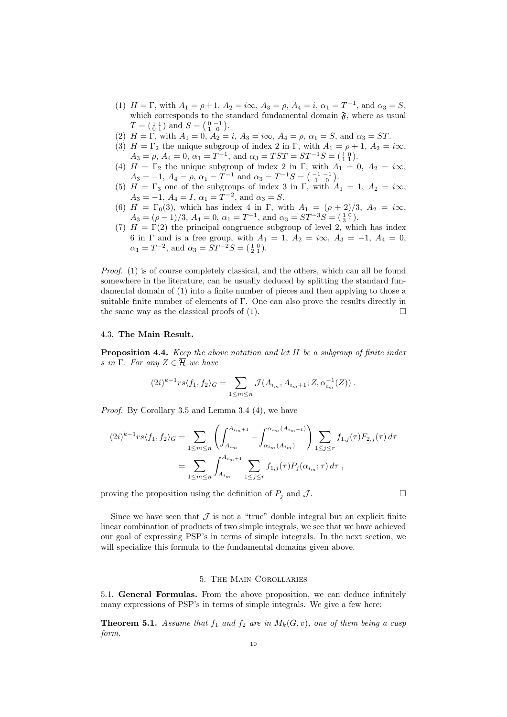- (1)  $H = \Gamma$ , with  $A_1 = \rho + 1$ ,  $A_2 = i\infty$ ,  $A_3 = \rho$ ,  $A_4 = i$ ,  $\alpha_1 = T^{-1}$ , and  $\alpha_3 = S$ , which corresponds to the standard fundamental domain  $\mathfrak{F}$ , where as usual  $T = \begin{pmatrix} 1 & 1 \\ 0 & 1 \end{pmatrix}$  and  $S = \begin{pmatrix} 0 & -1 \\ 1 & 0 \end{pmatrix}$ .
- (2)  $H = \Gamma$ , with  $A_1 = 0$ ,  $A_2 = i$ ,  $A_3 = i\infty$ ,  $A_4 = \rho$ ,  $\alpha_1 = S$ , and  $\alpha_3 = ST$ .
- (3)  $H = \Gamma_2$  the unique subgroup of index 2 in Γ, with  $A_1 = \rho + 1$ ,  $A_2 = i\infty$ ,  $A_3 = \rho, A_4 = 0, \alpha_1 = T^{-1}, \text{ and } \alpha_3 = TST = ST^{-1}S = (\begin{smallmatrix} 1 & 0 \\ 1 & 1 \end{smallmatrix}).$
- (4)  $H = \Gamma_2$  the unique subgroup of index 2 in  $\Gamma$ , with  $A_1 = 0$ ,  $A_2 = i\infty$ ,  $A_3 = -1, A_4 = \rho, \alpha_1 = T^{-1} \text{ and } \alpha_3 = T^{-1}S = \begin{pmatrix} -1 & -1 \\ 1 & 0 \end{pmatrix}.$
- (5)  $H = \Gamma_3$  one of the subgroups of index 3 in Γ, with  $A_1 = 1, A_2 = i\infty$ ,  $A_3 = -1, A_4 = I, \alpha_1 = T^{-2}, \text{ and } \alpha_3 = S.$
- (6)  $H = \Gamma_0(3)$ , which has index 4 in Γ, with  $A_1 = (\rho + 2)/3$ ,  $A_2 = i\infty$ ,  $A_3 = (\rho - 1)/3$ ,  $A_4 = 0$ ,  $\alpha_1 = T^{-1}$ , and  $\alpha_3 = ST^{-3}S = (\frac{1}{3}\frac{0}{1})$ .
- (7)  $H = \Gamma(2)$  the principal congruence subgroup of level 2, which has index 6 in  $\Gamma$  and is a free group, with  $A_1 = 1$ ,  $A_2 = i\infty$ ,  $A_3 = -1$ ,  $A_4 = 0$ ,  $\alpha_1 = T^{-2}$ , and  $\alpha_3 = ST^{-2}S = \begin{pmatrix} 1 & 0 \\ 2 & 1 \end{pmatrix}$ .

Proof. (1) is of course completely classical, and the others, which can all be found somewhere in the literature, can be usually deduced by splitting the standard fundamental domain of (1) into a finite number of pieces and then applying to those a suitable finite number of elements of Γ. One can also prove the results directly in the same way as the classical proofs of (1).  $\Box$ 

## 4.3. The Main Result.

Proposition 4.4. Keep the above notation and let H be a subgroup of finite index s in Γ. For any  $Z \in \overline{\mathcal{H}}$  we have

$$
(2i)^{k-1}rs\langle f_1, f_2\rangle_G = \sum_{1 \le m \le n} \mathcal{J}(A_{i_m}, A_{i_m+1}; Z, \alpha_{i_m}^{-1}(Z)).
$$

Proof. By Corollary 3.5 and Lemma 3.4 (4), we have

$$
(2i)^{k-1}rs\langle f_1, f_2\rangle_G = \sum_{1 \le m \le n} \left( \int_{A_{i_m}}^{A_{i_m+1}} - \int_{\alpha_{i_m}(A_{i_m})}^{\alpha_{i_m}(A_{i_m+1})} \right) \sum_{1 \le j \le r} f_{1,j}(\tau) F_{2,j}(\tau) d\tau
$$

$$
= \sum_{1 \le m \le n} \int_{A_{i_m}}^{A_{i_m+1}} \sum_{1 \le j \le r} f_{1,j}(\tau) P_j(\alpha_{i_m}; \tau) d\tau ,
$$

proving the proposition using the definition of  $P_j$  and  $\mathcal{J}$ .

Since we have seen that  $\mathcal J$  is not a "true" double integral but an explicit finite linear combination of products of two simple integrals, we see that we have achieved our goal of expressing PSP's in terms of simple integrals. In the next section, we will specialize this formula to the fundamental domains given above.

#### 5. The Main Corollaries

5.1. General Formulas. From the above proposition, we can deduce infinitely many expressions of PSP's in terms of simple integrals. We give a few here:

**Theorem 5.1.** Assume that  $f_1$  and  $f_2$  are in  $M_k(G, v)$ , one of them being a cusp form.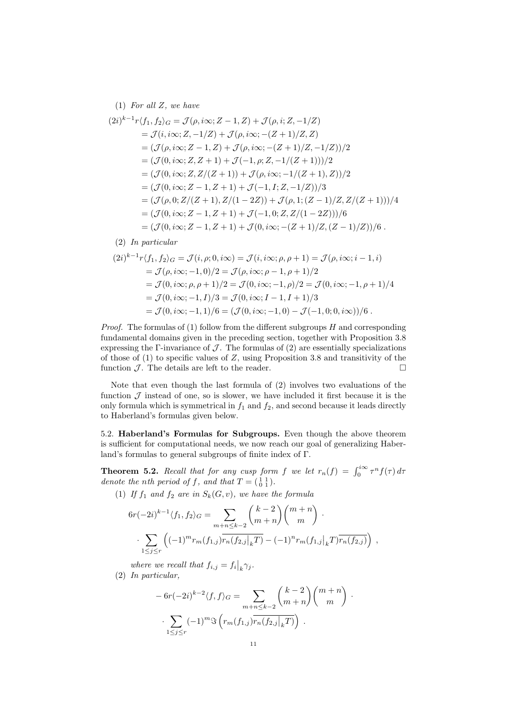(1) For all  $Z$ , we have

$$
(2i)^{k-1}r\langle f_1, f_2 \rangle_G = \mathcal{J}(\rho, i\infty; Z - 1, Z) + \mathcal{J}(\rho, i; Z, -1/Z)
$$
  
\n
$$
= \mathcal{J}(i, i\infty; Z, -1/Z) + \mathcal{J}(\rho, i\infty; -(Z + 1)/Z, Z)
$$
  
\n
$$
= (\mathcal{J}(\rho, i\infty; Z - 1, Z) + \mathcal{J}(\rho, i\infty; -(Z + 1)/Z, -1/Z))/2
$$
  
\n
$$
= (\mathcal{J}(0, i\infty; Z, Z + 1) + \mathcal{J}(-1, \rho; Z, -1/(Z + 1)))/2
$$
  
\n
$$
= (\mathcal{J}(0, i\infty; Z, Z/(Z + 1)) + \mathcal{J}(\rho, i\infty; -1/(Z + 1), Z))/2
$$
  
\n
$$
= (\mathcal{J}(0, i\infty; Z - 1, Z + 1) + \mathcal{J}(-1, I; Z, -1/Z))/3
$$
  
\n
$$
= (\mathcal{J}(\rho, 0; Z/(Z + 1), Z/(1 - 2Z)) + \mathcal{J}(\rho, 1; (Z - 1)/Z, Z/(Z + 1)))/4
$$
  
\n
$$
= (\mathcal{J}(0, i\infty; Z - 1, Z + 1) + \mathcal{J}(-1, 0; Z, Z/(1 - 2Z)))/6
$$
  
\n
$$
= (\mathcal{J}(0, i\infty; Z - 1, Z + 1) + \mathcal{J}(0, i\infty; -(Z + 1)/Z, (Z - 1)/Z))/6.
$$

(2) In particular

$$
(2i)^{k-1}r\langle f_1, f_2 \rangle_G = \mathcal{J}(i, \rho; 0, i\infty) = \mathcal{J}(i, i\infty; \rho, \rho + 1) = \mathcal{J}(\rho, i\infty; i - 1, i)
$$
  
=  $\mathcal{J}(\rho, i\infty; -1, 0)/2 = \mathcal{J}(\rho, i\infty; \rho - 1, \rho + 1)/2$   
=  $\mathcal{J}(0, i\infty; \rho, \rho + 1)/2 = \mathcal{J}(0, i\infty; -1, \rho)/2 = \mathcal{J}(0, i\infty; -1, \rho + 1)/4$   
=  $\mathcal{J}(0, i\infty; -1, I)/3 = \mathcal{J}(0, i\infty; I - 1, I + 1)/3$   
=  $\mathcal{J}(0, i\infty; -1, 1)/6 = (\mathcal{J}(0, i\infty; -1, 0) - \mathcal{J}(-1, 0; 0, i\infty))/6$ .

*Proof.* The formulas of (1) follow from the different subgroups  $H$  and corresponding fundamental domains given in the preceding section, together with Proposition 3.8 expressing the Γ-invariance of  $\mathcal J$ . The formulas of (2) are essentially specializations of those of (1) to specific values of Z, using Proposition 3.8 and transitivity of the function  $\mathcal{J}$ . The details are left to the reader.

Note that even though the last formula of (2) involves two evaluations of the function  $\mathcal J$  instead of one, so is slower, we have included it first because it is the only formula which is symmetrical in  $f_1$  and  $f_2$ , and second because it leads directly to Haberland's formulas given below.

5.2. Haberland's Formulas for Subgroups. Even though the above theorem is sufficient for computational needs, we now reach our goal of generalizing Haberland's formulas to general subgroups of finite index of Γ.

**Theorem 5.2.** Recall that for any cusp form f we let  $r_n(f) = \int_0^{i\infty} \tau^n f(\tau) d\tau$ denote the nth period of f, and that  $T = \begin{pmatrix} 1 & 1 \\ 0 & 1 \end{pmatrix}$ .

(1) If  $f_1$  and  $f_2$  are in  $S_k(G, v)$ , we have the formula

$$
6r(-2i)^{k-1}\langle f_1, f_2 \rangle_G = \sum_{m+n \leq k-2} {k-2 \choose m+n} {m+n \choose m} \cdot \sum_{1 \leq j \leq r} \left( (-1)^m r_m(f_{1,j}) \overline{r_n(f_{2,j}|_k T)} - (-1)^n r_m(f_{1,j}|_k T) \overline{r_n(f_{2,j})} \right) ,
$$

where we recall that  $f_{i,j} = f_i\big|_k \gamma_j$ .

(2) In particular,

$$
-6r(-2i)^{k-2}\langle f,f\rangle_G = \sum_{m+n\leq k-2} {k-2 \choose m+n} {m+n \choose m}.
$$

$$
\sum_{1 \leq j \leq r} (-1)^m \Im\left(r_m(f_{1,j})\overline{r_n(f_{2,j}|_kT)}\right).
$$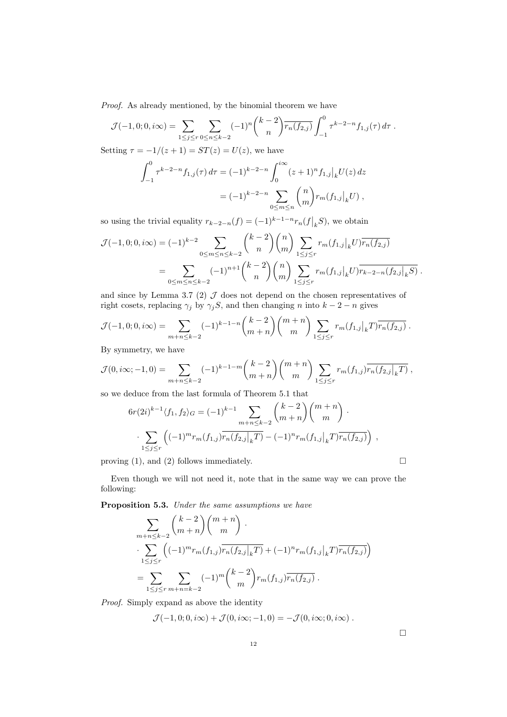Proof. As already mentioned, by the binomial theorem we have

$$
\mathcal{J}(-1,0;0,i\infty) = \sum_{1 \le j \le r} \sum_{0 \le n \le k-2} (-1)^n {k-2 \choose n} \overline{r_n(f_{2,j})} \int_{-1}^0 \tau^{k-2-n} f_{1,j}(\tau) d\tau.
$$

Setting  $\tau = -1/(z+1) = ST(z) = U(z)$ , we have

$$
\int_{-1}^{0} \tau^{k-2-n} f_{1,j}(\tau) d\tau = (-1)^{k-2-n} \int_{0}^{i\infty} (z+1)^n f_{1,j} \big|_{k} U(z) dz
$$
  
=  $(-1)^{k-2-n} \sum_{0 \le m \le n} {n \choose m} r_m(f_{1,j}|_{k} U),$ 

so using the trivial equality  $r_{k-2-n}(f) = (-1)^{k-1-n} r_n(f|_k S)$ , we obtain

$$
\mathcal{J}(-1,0;0,i\infty) = (-1)^{k-2} \sum_{0 \le m \le n \le k-2} {k-2 \choose n} {n \choose m} \sum_{1 \le j \le r} r_m(f_{1,j}|_k U) \overline{r_n(f_{2,j})}
$$
  
= 
$$
\sum_{0 \le m \le n \le k-2} (-1)^{n+1} {k-2 \choose n} {n \choose m} \sum_{1 \le j \le r} r_m(f_{1,j}|_k U) \overline{r_{k-2-n}(f_{2,j}|_k S)}.
$$

and since by Lemma 3.7 (2)  $J$  does not depend on the chosen representatives of right cosets, replacing  $\gamma_j$  by  $\gamma_j$ S, and then changing n into  $k-2-n$  gives

$$
\mathcal{J}(-1,0;0,i\infty) = \sum_{m+n \leq k-2} (-1)^{k-1-n} {k-2 \choose m+n} {m+n \choose m} \sum_{1 \leq j \leq r} r_m(f_{1,j}|_k T) \overline{r_n(f_{2,j})}.
$$

By symmetry, we have

$$
\mathcal{J}(0,i\infty;-1,0) = \sum_{m+n\leq k-2} (-1)^{k-1-m} {k-2 \choose m+n} {m+n \choose m} \sum_{1 \leq j \leq r} r_m(f_{1,j}) \overline{r_n(f_{2,j}|_{k}T)},
$$

so we deduce from the last formula of Theorem 5.1 that

$$
6r(2i)^{k-1} \langle f_1, f_2 \rangle_G = (-1)^{k-1} \sum_{m+n \leq k-2} {k-2 \choose m+n} {m+n \choose m}.
$$

$$
\sum_{1 \leq j \leq r} \left( (-1)^m r_m(f_{1,j}) \overline{r_n(f_{2,j}|_k T)} - (-1)^n r_m(f_{1,j}|_k T) \overline{r_n(f_{2,j})} \right) ,
$$

proving (1), and (2) follows immediately.  $\Box$ 

Even though we will not need it, note that in the same way we can prove the following:

Proposition 5.3. Under the same assumptions we have

$$
\sum_{m+n\leq k-2} {k-2 \choose m+n} {m+n \choose m}.
$$
\n
$$
\sum_{1 \leq j \leq r} \left( (-1)^m r_m(f_{1,j}) \overline{r_n(f_{2,j}|_k T)} + (-1)^n r_m(f_{1,j}|_k T) \overline{r_n(f_{2,j})} \right)
$$
\n
$$
= \sum_{1 \leq j \leq r} \sum_{m+n=k-2} (-1)^m {k-2 \choose m} r_m(f_{1,j}) \overline{r_n(f_{2,j})}.
$$

Proof. Simply expand as above the identity

$$
\mathcal{J}(-1,0;0,i\infty)+\mathcal{J}(0,i\infty;-1,0)=-\mathcal{J}(0,i\infty;0,i\infty).
$$

 $\Box$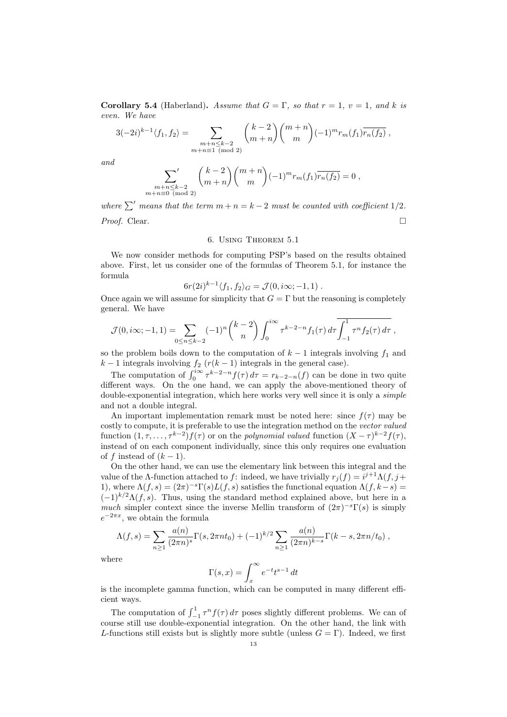Corollary 5.4 (Haberland). Assume that  $G = \Gamma$ , so that  $r = 1$ ,  $v = 1$ , and k is even. We have

$$
3(-2i)^{k-1} \langle f_1, f_2 \rangle = \sum_{\substack{m+n \leq k-2 \\ m+n \equiv 1 \pmod{2}}} \binom{k-2}{m+n} \binom{m+n}{m} (-1)^m r_m(f_1) \overline{r_n(f_2)},
$$

and

$$
\sum_{\substack{m+n \leq k-2 \\ m+n \equiv 0 \pmod{2}}} {k-2 \choose m+n} {m+n \choose m} (-1)^m r_m(f_1) \overline{r_n(f_2)} = 0,
$$

where  $\sum'$  means that the term  $m + n = k - 2$  must be counted with coefficient 1/2. Proof. Clear. □

## 6. Using Theorem 5.1

We now consider methods for computing PSP's based on the results obtained above. First, let us consider one of the formulas of Theorem 5.1, for instance the formula

$$
6r(2i)^{k-1}\langle f_1, f_2\rangle_G = \mathcal{J}(0, i\infty; -1, 1) .
$$

Once again we will assume for simplicity that  $G = \Gamma$  but the reasoning is completely general. We have

$$
\mathcal{J}(0,i\infty;-1,1)=\sum_{0\leq n\leq k-2}(-1)^n\binom{k-2}{n}\int_0^{i\infty}\tau^{k-2-n}f_1(\tau)\,d\tau\overline{\int_{-1}^1\tau^nf_2(\tau)\,d\tau},
$$

so the problem boils down to the computation of  $k-1$  integrals involving  $f_1$  and  $k-1$  integrals involving  $f_2(r(k-1))$  integrals in the general case).

The computation of  $\int_0^{i\infty} \tau^{k-2-n} f(\tau) d\tau = r_{k-2-n}(f)$  can be done in two quite different ways. On the one hand, we can apply the above-mentioned theory of double-exponential integration, which here works very well since it is only a simple and not a double integral.

An important implementation remark must be noted here: since  $f(\tau)$  may be costly to compute, it is preferable to use the integration method on the vector valued function  $(1, \tau, \ldots, \tau^{k-2}) f(\tau)$  or on the polynomial valued function  $(X - \tau)^{k-2} f(\tau)$ , instead of on each component individually, since this only requires one evaluation of f instead of  $(k-1)$ .

On the other hand, we can use the elementary link between this integral and the value of the  $\Lambda$ -function attached to f: indeed, we have trivially  $r_j(f) = i^{j+1}\Lambda(f, j+1)$ 1), where  $\Lambda(f,s) = (2\pi)^{-s}\Gamma(s)L(f,s)$  satisfies the functional equation  $\Lambda(f,k-s)$  $(-1)^{k/2}\Lambda(f,s)$ . Thus, using the standard method explained above, but here in a much simpler context since the inverse Mellin transform of  $(2\pi)^{-s}\Gamma(s)$  is simply  $e^{-2\pi x}$ , we obtain the formula

$$
\Lambda(f,s) = \sum_{n\geq 1} \frac{a(n)}{(2\pi n)^s} \Gamma(s, 2\pi nt_0) + (-1)^{k/2} \sum_{n\geq 1} \frac{a(n)}{(2\pi n)^{k-s}} \Gamma(k-s, 2\pi n/t_0) ,
$$

where

$$
\Gamma(s,x) = \int_x^{\infty} e^{-t} t^{s-1} dt
$$

is the incomplete gamma function, which can be computed in many different efficient ways.

The computation of  $\int_{-1}^{1} \tau^n f(\tau) d\tau$  poses slightly different problems. We can of course still use double-exponential integration. On the other hand, the link with L-functions still exists but is slightly more subtle (unless  $G = \Gamma$ ). Indeed, we first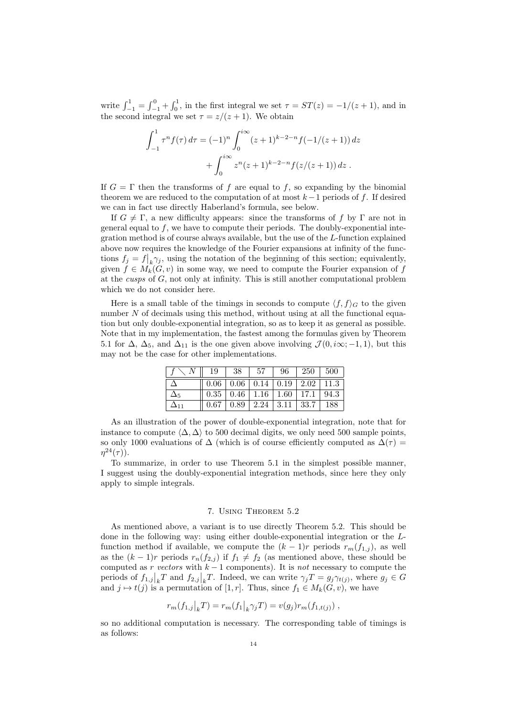write  $\int_{-1}^{1} = \int_{-1}^{0} + \int_{0}^{1}$ , in the first integral we set  $\tau = ST(z) = -1/(z+1)$ , and in the second integral we set  $\tau = z/(z+1)$ . We obtain

$$
\int_{-1}^{1} \tau^n f(\tau) d\tau = (-1)^n \int_0^{i\infty} (z+1)^{k-2-n} f(-1/(z+1)) dz
$$

$$
+ \int_0^{i\infty} z^n (z+1)^{k-2-n} f(z/(z+1)) dz.
$$

If  $G = \Gamma$  then the transforms of f are equal to f, so expanding by the binomial theorem we are reduced to the computation of at most  $k-1$  periods of f. If desired we can in fact use directly Haberland's formula, see below.

If  $G \neq \Gamma$ , a new difficulty appears: since the transforms of f by  $\Gamma$  are not in general equal to  $f$ , we have to compute their periods. The doubly-exponential integration method is of course always available, but the use of the L-function explained above now requires the knowledge of the Fourier expansions at infinity of the functions  $f_j = f|_k \gamma_j$ , using the notation of the beginning of this section; equivalently, given  $f \in M_k(G, v)$  in some way, we need to compute the Fourier expansion of f at the cusps of G, not only at infinity. This is still another computational problem which we do not consider here.

Here is a small table of the timings in seconds to compute  $\langle f, f \rangle_G$  to the given number  $N$  of decimals using this method, without using at all the functional equation but only double-exponential integration, so as to keep it as general as possible. Note that in my implementation, the fastest among the formulas given by Theorem 5.1 for  $\Delta$ ,  $\Delta_5$ , and  $\Delta_{11}$  is the one given above involving  $\mathcal{J}(0,i\infty; -1,1)$ , but this may not be the case for other implementations.

| 19   | 38                                                       | -57                         | 96 | $250 + 500$ |     |
|------|----------------------------------------------------------|-----------------------------|----|-------------|-----|
|      | $0.06 \mid 0.06 \mid 0.14 \mid 0.19 \mid 2.02 \mid 11.3$ |                             |    |             |     |
|      | $0.35 \mid 0.46 \mid 1.16 \mid 1.60 \mid 17.1 \mid 94.3$ |                             |    |             |     |
| 0.67 |                                                          | $0.89$   2.24   3.11   33.7 |    |             | 188 |

As an illustration of the power of double-exponential integration, note that for instance to compute  $\langle \Delta, \Delta \rangle$  to 500 decimal digits, we only need 500 sample points. so only 1000 evaluations of  $\Delta$  (which is of course efficiently computed as  $\Delta(\tau)$  =  $\eta^{24}(\tau)$ ).

To summarize, in order to use Theorem 5.1 in the simplest possible manner, I suggest using the doubly-exponential integration methods, since here they only apply to simple integrals.

#### 7. Using Theorem 5.2

As mentioned above, a variant is to use directly Theorem 5.2. This should be done in the following way: using either double-exponential integration or the Lfunction method if available, we compute the  $(k-1)r$  periods  $r_m(f_{1,j})$ , as well as the  $(k-1)r$  periods  $r_n(f_{2,j})$  if  $f_1 \neq f_2$  (as mentioned above, these should be computed as r vectors with  $k - 1$  components). It is not necessary to compute the periods of  $f_{1,j}|_k T$  and  $f_{2,j}|_k T$ . Indeed, we can write  $\gamma_j T = g_j \gamma_{t(j)}$ , where  $g_j \in G$ and  $j \mapsto t(j)$  is a permutation of [1, r]. Thus, since  $f_1 \in M_k(G, v)$ , we have

$$
r_m(f_{1,j}|_{k}T) = r_m(f_1|_{k}\gamma_j T) = v(g_j)r_m(f_{1,t(j)})
$$

so no additional computation is necessary. The corresponding table of timings is as follows: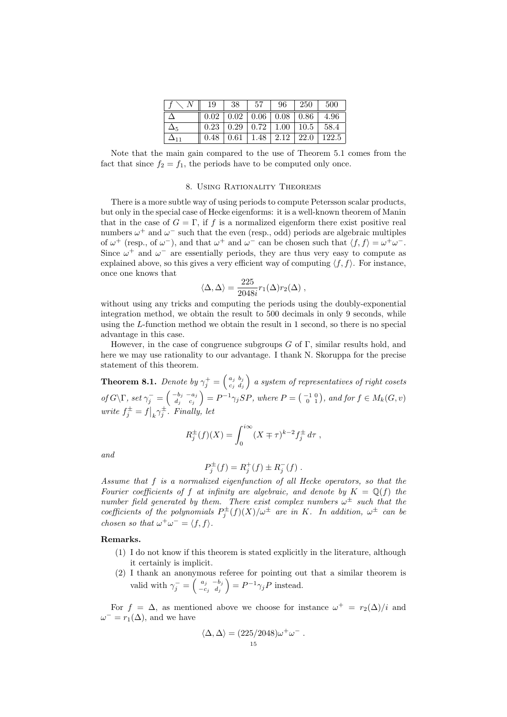|             | 19       | 38         | 57 | 96                                             | 250         | 500   |
|-------------|----------|------------|----|------------------------------------------------|-------------|-------|
|             |          |            |    | $0.02 \mid 0.02 \mid 0.06 \mid 0.08 \mid 0.86$ |             | 4.96  |
|             |          |            |    | $0.23 \mid 0.29 \mid 0.72 \mid 1.00 \mid 10.5$ |             | 58.4  |
| $\Delta$ 11 | $0.48\,$ | $\pm 0.61$ |    | $1.48 \mid 2.12$                               | <b>22.0</b> | 122.5 |

Note that the main gain compared to the use of Theorem 5.1 comes from the fact that since  $f_2 = f_1$ , the periods have to be computed only once.

#### 8. Using Rationality Theorems

There is a more subtle way of using periods to compute Petersson scalar products, but only in the special case of Hecke eigenforms: it is a well-known theorem of Manin that in the case of  $G = \Gamma$ , if f is a normalized eigenform there exist positive real numbers  $\omega^+$  and  $\omega^-$  such that the even (resp., odd) periods are algebraic multiples of  $\omega^+$  (resp., of  $\omega^-$ ), and that  $\omega^+$  and  $\omega^-$  can be chosen such that  $\langle f, f \rangle = \omega^+ \omega^-$ . Since  $\omega^+$  and  $\omega^-$  are essentially periods, they are thus very easy to compute as explained above, so this gives a very efficient way of computing  $\langle f, f \rangle$ . For instance, once one knows that

$$
\langle \Delta, \Delta \rangle = \frac{225}{2048i} r_1(\Delta) r_2(\Delta) ,
$$

without using any tricks and computing the periods using the doubly-exponential integration method, we obtain the result to 500 decimals in only 9 seconds, while using the L-function method we obtain the result in 1 second, so there is no special advantage in this case.

However, in the case of congruence subgroups  $G$  of  $\Gamma$ , similar results hold, and here we may use rationality to our advantage. I thank N. Skoruppa for the precise statement of this theorem.

**Theorem 8.1.** Denote by  $\gamma_j^+ = \begin{pmatrix} a_j & b_j \ c_j & d_j \end{pmatrix}$  $\left(\begin{smallmatrix} a_j & b_j \ c_j & d_j \end{smallmatrix}\right)$  a system of representatives of right cosets of  $G\backslash\Gamma$ , set  $\gamma_j^-=\left(\begin{smallmatrix} -b_j & -a_j\ d_i & c_j \end{smallmatrix}\right)$  $\begin{pmatrix} -b_j & -a_j \ d_j & c_j \end{pmatrix} = P^{-1} \gamma_j SP$ , where  $P = \begin{pmatrix} -1 & 0 \ 0 & 1 \end{pmatrix}$ , and for  $f \in M_k(G, v)$ write  $f_j^{\pm} = f|_k \gamma_j^{\pm}$ . Finally, let

$$
R_j^{\pm}(f)(X) = \int_0^{i\infty} (X \mp \tau)^{k-2} f_j^{\pm} d\tau ,
$$

and

$$
P_j^{\pm}(f) = R_j^+(f) \pm R_j^-(f) .
$$

Assume that f is a normalized eigenfunction of all Hecke operators, so that the Fourier coefficients of f at infinity are algebraic, and denote by  $K = \mathbb{Q}(f)$  the number field generated by them. There exist complex numbers  $\omega^{\pm}$  such that the coefficients of the polynomials  $P_j^{\pm}(f)(X)/\omega^{\pm}$  are in K. In addition,  $\omega^{\pm}$  can be chosen so that  $\omega^+ \omega^- = \langle f, f \rangle$ .

#### Remarks.

- (1) I do not know if this theorem is stated explicitly in the literature, although it certainly is implicit.
- (2) I thank an anonymous referee for pointing out that a similar theorem is valid with  $\gamma_j^- = \begin{pmatrix} a_j & -b_j \\ -c_j & d_j \end{pmatrix}$  $\begin{pmatrix} a_j & -b_j \\ -c_j & d_j \end{pmatrix} = P^{-1} \gamma_j P$  instead.

For  $f = \Delta$ , as mentioned above we choose for instance  $\omega^+ = r_2(\Delta)/i$  and  $\omega^- = r_1(\Delta)$ , and we have

$$
\langle \Delta, \Delta \rangle = (225/2048)\omega^+ \omega^-.
$$